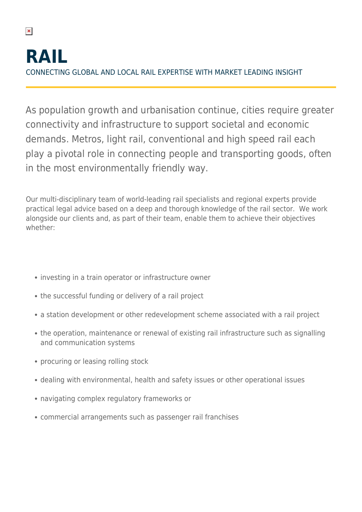As population growth and urbanisation continue, cities require greater connectivity and infrastructure to support societal and economic demands. Metros, light rail, conventional and high speed rail each play a pivotal role in connecting people and transporting goods, often in the most environmentally friendly way.

Our multi-disciplinary team of world-leading rail specialists and regional experts provide practical legal advice based on a deep and thorough knowledge of the rail sector. We work alongside our clients and, as part of their team, enable them to achieve their objectives whether:

- investing in a train operator or infrastructure owner
- the successful funding or delivery of a rail project
- a station development or other redevelopment scheme associated with a rail project
- the operation, maintenance or renewal of existing rail infrastructure such as signalling and communication systems
- procuring or leasing rolling stock
- dealing with environmental, health and safety issues or other operational issues
- navigating complex regulatory frameworks or
- commercial arrangements such as passenger rail franchises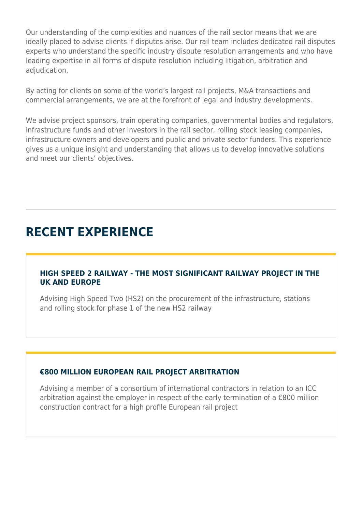Our understanding of the complexities and nuances of the rail sector means that we are ideally placed to advise clients if disputes arise. Our rail team includes dedicated rail disputes experts who understand the specific industry dispute resolution arrangements and who have leading expertise in all forms of dispute resolution including litigation, arbitration and adiudication.

By acting for clients on some of the world's largest rail projects, M&A transactions and commercial arrangements, we are at the forefront of legal and industry developments.

We advise project sponsors, train operating companies, governmental bodies and regulators, infrastructure funds and other investors in the rail sector, rolling stock leasing companies, infrastructure owners and developers and public and private sector funders. This experience gives us a unique insight and understanding that allows us to develop innovative solutions and meet our clients' objectives.

# **RECENT EXPERIENCE**

#### **HIGH SPEED 2 RAILWAY - THE MOST SIGNIFICANT RAILWAY PROJECT IN THE UK AND EUROPE**

Advising High Speed Two (HS2) on the procurement of the infrastructure, stations and rolling stock for phase 1 of the new HS2 railway

### **€800 MILLION EUROPEAN RAIL PROJECT ARBITRATION**

Advising a member of a consortium of international contractors in relation to an ICC arbitration against the employer in respect of the early termination of a €800 million construction contract for a high profile European rail project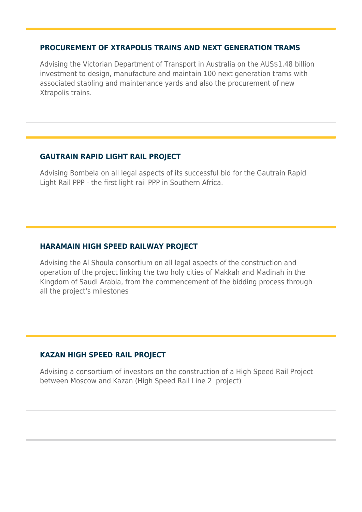#### **PROCUREMENT OF XTRAPOLIS TRAINS AND NEXT GENERATION TRAMS**

Advising the Victorian Department of Transport in Australia on the AUS\$1.48 billion investment to design, manufacture and maintain 100 next generation trams with associated stabling and maintenance yards and also the procurement of new Xtrapolis trains.

### **GAUTRAIN RAPID LIGHT RAIL PROJECT**

Advising Bombela on all legal aspects of its successful bid for the Gautrain Rapid Light Rail PPP - the first light rail PPP in Southern Africa.

### **HARAMAIN HIGH SPEED RAILWAY PROJECT**

Advising the Al Shoula consortium on all legal aspects of the construction and operation of the project linking the two holy cities of Makkah and Madinah in the Kingdom of Saudi Arabia, from the commencement of the bidding process through all the project's milestones

### **KAZAN HIGH SPEED RAIL PROJECT**

Advising a consortium of investors on the construction of a High Speed Rail Project between Moscow and Kazan (High Speed Rail Line 2 project)